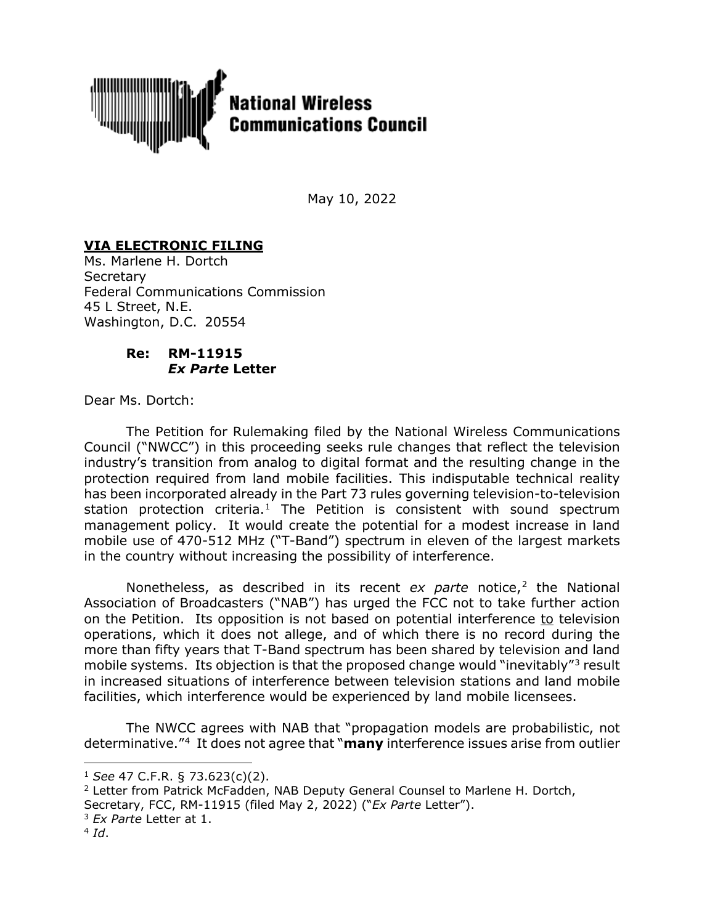

May 10, 2022

## **VIA ELECTRONIC FILING**

Ms. Marlene H. Dortch **Secretary** Federal Communications Commission 45 L Street, N.E. Washington, D.C. 20554

## **Re: RM-11915** *Ex Parte* **Letter**

Dear Ms. Dortch:

The Petition for Rulemaking filed by the National Wireless Communications Council ("NWCC") in this proceeding seeks rule changes that reflect the television industry's transition from analog to digital format and the resulting change in the protection required from land mobile facilities. This indisputable technical reality has been incorporated already in the Part 73 rules governing television-to-television station protection criteria.<sup>[1](#page-0-0)</sup> The Petition is consistent with sound spectrum management policy. It would create the potential for a modest increase in land mobile use of 470-512 MHz ("T-Band") spectrum in eleven of the largest markets in the country without increasing the possibility of interference.

Nonetheless, as described in its recent *ex parte* notice,<sup>[2](#page-0-1)</sup> the National Association of Broadcasters ("NAB") has urged the FCC not to take further action on the Petition. Its opposition is not based on potential interference to television operations, which it does not allege, and of which there is no record during the more than fifty years that T-Band spectrum has been shared by television and land mobile systems. Its objection is that the proposed change would "inevitably"<sup>[3](#page-0-2)</sup> result in increased situations of interference between television stations and land mobile facilities, which interference would be experienced by land mobile licensees.

The NWCC agrees with NAB that "propagation models are probabilistic, not determinative."[4](#page-0-3) It does not agree that "**many** interference issues arise from outlier

<span id="page-0-1"></span><sup>2</sup> Letter from Patrick McFadden, NAB Deputy General Counsel to Marlene H. Dortch,

Secretary, FCC, RM-11915 (filed May 2, 2022) ("*Ex Parte* Letter").

- <span id="page-0-2"></span><sup>3</sup> *Ex Parte* Letter at 1.
- <span id="page-0-3"></span> $4$  *Id*.

<span id="page-0-0"></span><sup>1</sup> *See* 47 C.F.R. § 73.623(c)(2).